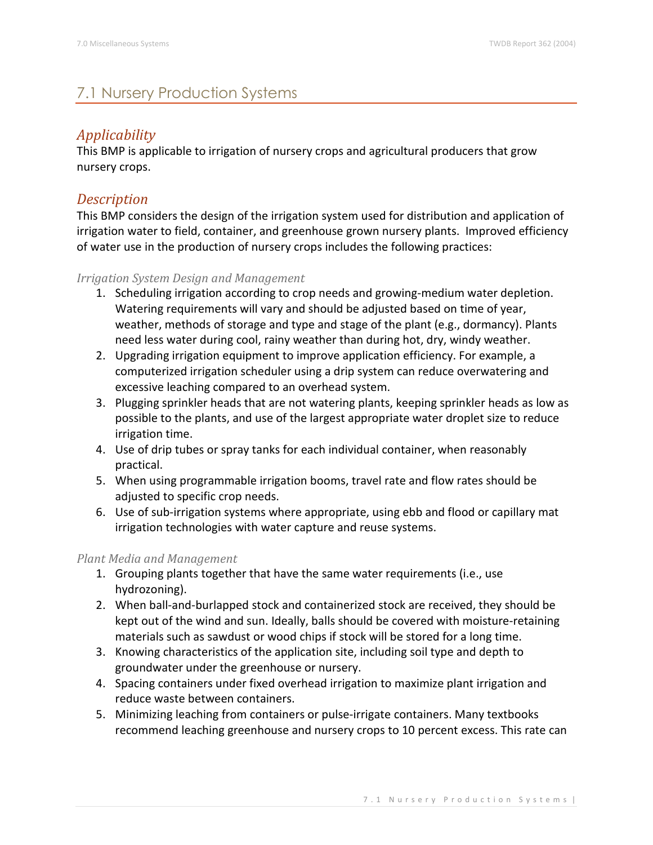# 7.1 Nursery Production Systems

# *Applicability*

This BMP is applicable to irrigation of nursery crops and agricultural producers that grow nursery crops.

## *Description*

This BMP considers the design of the irrigation system used for distribution and application of irrigation water to field, container, and greenhouse grown nursery plants. Improved efficiency of water use in the production of nursery crops includes the following practices:

### *Irrigation System Design and Management*

- 1. Scheduling irrigation according to crop needs and growing-medium water depletion. Watering requirements will vary and should be adjusted based on time of year, weather, methods of storage and type and stage of the plant (e.g., dormancy). Plants need less water during cool, rainy weather than during hot, dry, windy weather.
- 2. Upgrading irrigation equipment to improve application efficiency. For example, a computerized irrigation scheduler using a drip system can reduce overwatering and excessive leaching compared to an overhead system.
- 3. Plugging sprinkler heads that are not watering plants, keeping sprinkler heads as low as possible to the plants, and use of the largest appropriate water droplet size to reduce irrigation time.
- 4. Use of drip tubes or spray tanks for each individual container, when reasonably practical.
- 5. When using programmable irrigation booms, travel rate and flow rates should be adjusted to specific crop needs.
- 6. Use of sub-irrigation systems where appropriate, using ebb and flood or capillary mat irrigation technologies with water capture and reuse systems.

### *Plant Media and Management*

- 1. Grouping plants together that have the same water requirements (i.e., use hydrozoning).
- 2. When ball-and-burlapped stock and containerized stock are received, they should be kept out of the wind and sun. Ideally, balls should be covered with moisture-retaining materials such as sawdust or wood chips if stock will be stored for a long time.
- 3. Knowing characteristics of the application site, including soil type and depth to groundwater under the greenhouse or nursery.
- 4. Spacing containers under fixed overhead irrigation to maximize plant irrigation and reduce waste between containers.
- 5. Minimizing leaching from containers or pulse-irrigate containers. Many textbooks recommend leaching greenhouse and nursery crops to 10 percent excess. This rate can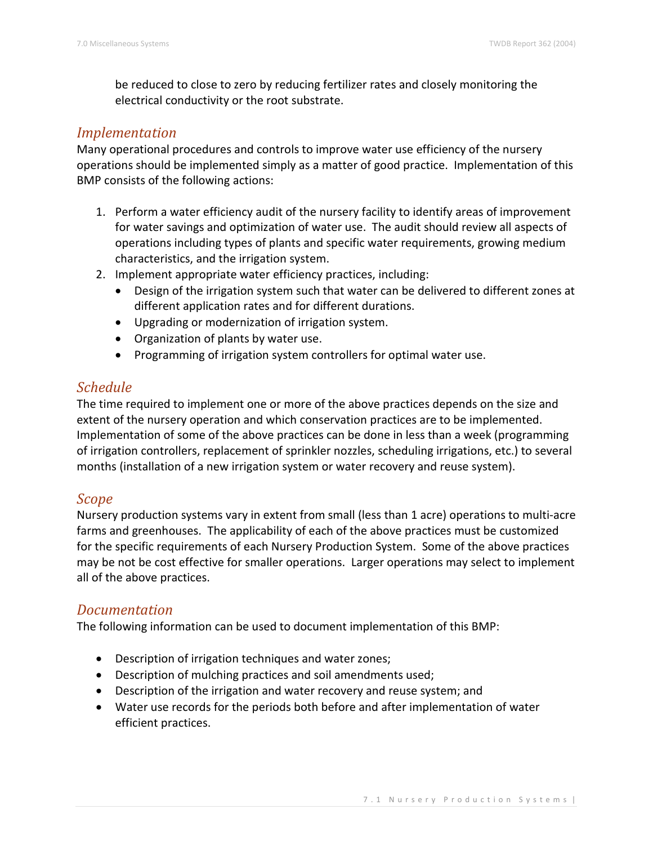be reduced to close to zero by reducing fertilizer rates and closely monitoring the electrical conductivity or the root substrate.

## *Implementation*

Many operational procedures and controls to improve water use efficiency of the nursery operations should be implemented simply as a matter of good practice. Implementation of this BMP consists of the following actions:

- 1. Perform a water efficiency audit of the nursery facility to identify areas of improvement for water savings and optimization of water use. The audit should review all aspects of operations including types of plants and specific water requirements, growing medium characteristics, and the irrigation system.
- 2. Implement appropriate water efficiency practices, including:
	- Design of the irrigation system such that water can be delivered to different zones at different application rates and for different durations.
	- Upgrading or modernization of irrigation system.
	- Organization of plants by water use.
	- Programming of irrigation system controllers for optimal water use.

## *Schedule*

The time required to implement one or more of the above practices depends on the size and extent of the nursery operation and which conservation practices are to be implemented. Implementation of some of the above practices can be done in less than a week (programming of irrigation controllers, replacement of sprinkler nozzles, scheduling irrigations, etc.) to several months (installation of a new irrigation system or water recovery and reuse system).

### *Scope*

Nursery production systems vary in extent from small (less than 1 acre) operations to multi-acre farms and greenhouses. The applicability of each of the above practices must be customized for the specific requirements of each Nursery Production System. Some of the above practices may be not be cost effective for smaller operations. Larger operations may select to implement all of the above practices.

### *Documentation*

The following information can be used to document implementation of this BMP:

- Description of irrigation techniques and water zones;
- Description of mulching practices and soil amendments used;
- Description of the irrigation and water recovery and reuse system; and
- Water use records for the periods both before and after implementation of water efficient practices.